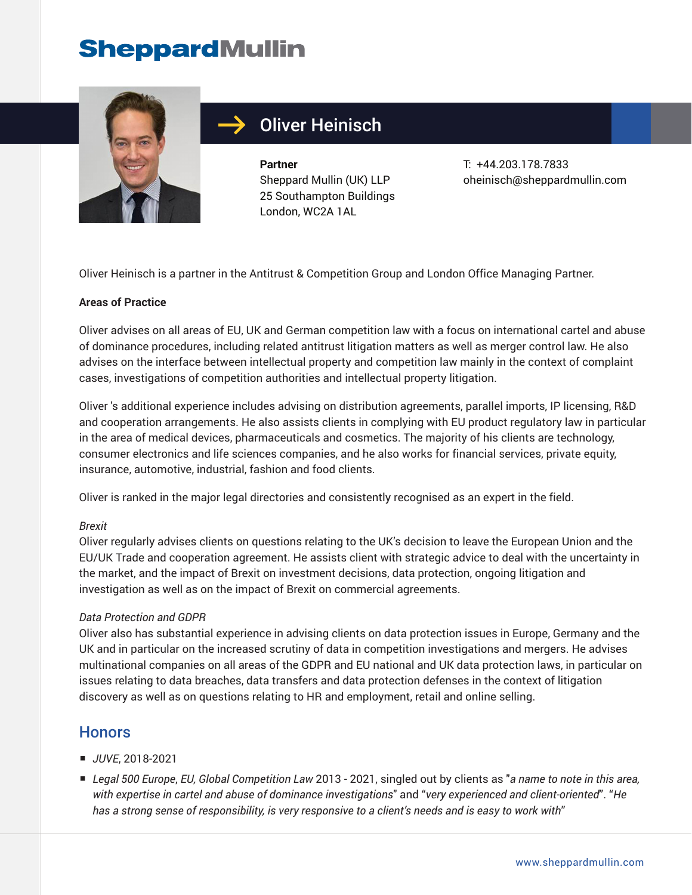

## Oliver Heinisch

**Partner** Sheppard Mullin (UK) LLP 25 Southampton Buildings London, WC2A 1AL

T: +44.203.178.7833 oheinisch@sheppardmullin.com

Oliver Heinisch is a partner in the Antitrust & Competition Group and London Office Managing Partner.

### **Areas of Practice**

Oliver advises on all areas of EU, UK and German competition law with a focus on international cartel and abuse of dominance procedures, including related antitrust litigation matters as well as merger control law. He also advises on the interface between intellectual property and competition law mainly in the context of complaint cases, investigations of competition authorities and intellectual property litigation.

Oliver 's additional experience includes advising on distribution agreements, parallel imports, IP licensing, R&D and cooperation arrangements. He also assists clients in complying with EU product regulatory law in particular in the area of medical devices, pharmaceuticals and cosmetics. The majority of his clients are technology, consumer electronics and life sciences companies, and he also works for financial services, private equity, insurance, automotive, industrial, fashion and food clients.

Oliver is ranked in the major legal directories and consistently recognised as an expert in the field.

#### *Brexit*

Oliver regularly advises clients on questions relating to the UK's decision to leave the European Union and the EU/UK Trade and cooperation agreement. He assists client with strategic advice to deal with the uncertainty in the market, and the impact of Brexit on investment decisions, data protection, ongoing litigation and investigation as well as on the impact of Brexit on commercial agreements.

#### *Data Protection and GDPR*

Oliver also has substantial experience in advising clients on data protection issues in Europe, Germany and the UK and in particular on the increased scrutiny of data in competition investigations and mergers. He advises multinational companies on all areas of the GDPR and EU national and UK data protection laws, in particular on issues relating to data breaches, data transfers and data protection defenses in the context of litigation discovery as well as on questions relating to HR and employment, retail and online selling.

### **Honors**

- *JUVE*, 2018-2021
- *Legal 500 Europe, EU, Global Competition Law* 2013 2021, singled out by clients as "*a name to note in this area, with expertise in cartel and abuse of dominance investigations*" and "*very experienced and client-oriented*". "*He has a strong sense of responsibility, is very responsive to a client's needs and is easy to work with*"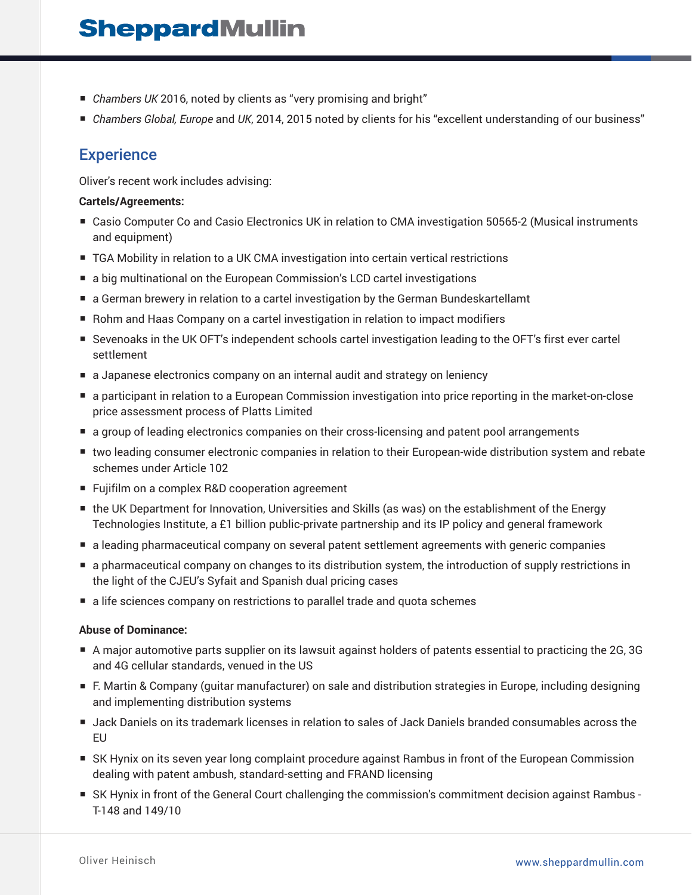- *Chambers UK* 2016, noted by clients as "very promising and bright"
- *Chambers Global, Europe* and *UK*, 2014, 2015 noted by clients for his "excellent understanding of our business"

### **Experience**

Oliver's recent work includes advising:

### **Cartels/Agreements:**

- Casio Computer Co and Casio Electronics UK in relation to CMA investigation 50565-2 (Musical instruments and equipment)
- TGA Mobility in relation to a UK CMA investigation into certain vertical restrictions
- a big multinational on the European Commission's LCD cartel investigations
- a German brewery in relation to a cartel investigation by the German Bundeskartellamt
- Rohm and Haas Company on a cartel investigation in relation to impact modifiers
- Sevenoaks in the UK OFT's independent schools cartel investigation leading to the OFT's first ever cartel settlement
- a Japanese electronics company on an internal audit and strategy on leniency
- a participant in relation to a European Commission investigation into price reporting in the market-on-close price assessment process of Platts Limited
- a group of leading electronics companies on their cross-licensing and patent pool arrangements
- two leading consumer electronic companies in relation to their European-wide distribution system and rebate schemes under Article 102
- Fujifilm on a complex R&D cooperation agreement
- the UK Department for Innovation, Universities and Skills (as was) on the establishment of the Energy Technologies Institute, a £1 billion public-private partnership and its IP policy and general framework
- a leading pharmaceutical company on several patent settlement agreements with generic companies
- a pharmaceutical company on changes to its distribution system, the introduction of supply restrictions in the light of the CJEU's Syfait and Spanish dual pricing cases
- a life sciences company on restrictions to parallel trade and quota schemes

#### **Abuse of Dominance:**

- A major automotive parts supplier on its lawsuit against holders of patents essential to practicing the 2G, 3G and 4G cellular standards, venued in the US
- F. Martin & Company (quitar manufacturer) on sale and distribution strategies in Europe, including designing and implementing distribution systems
- Jack Daniels on its trademark licenses in relation to sales of Jack Daniels branded consumables across the EU
- SK Hynix on its seven year long complaint procedure against Rambus in front of the European Commission dealing with patent ambush, standard-setting and FRAND licensing
- SK Hynix in front of the General Court challenging the commission's commitment decision against Rambus -T-148 and 149/10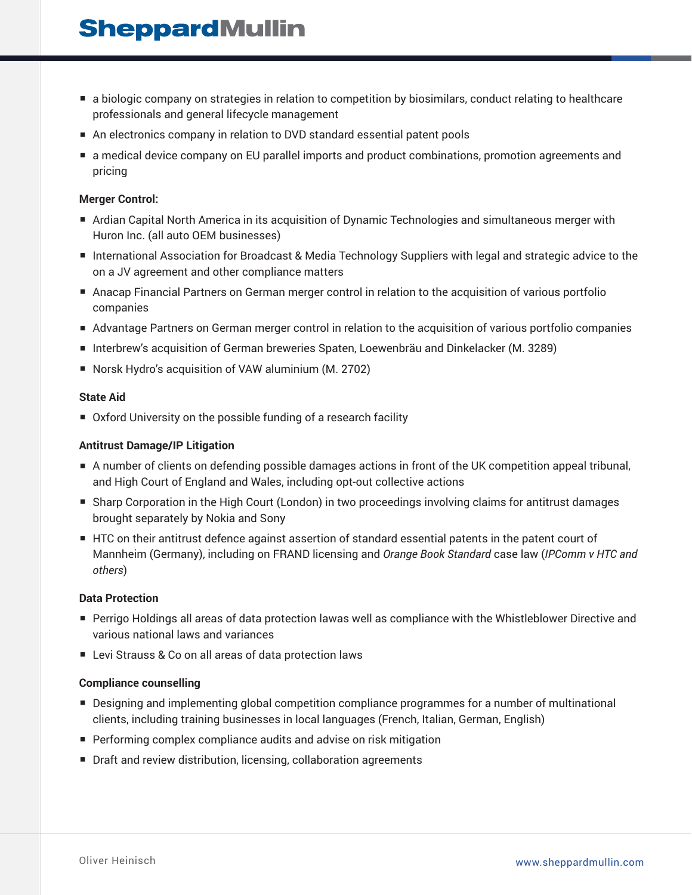- a biologic company on strategies in relation to competition by biosimilars, conduct relating to healthcare professionals and general lifecycle management
- An electronics company in relation to DVD standard essential patent pools
- a medical device company on EU parallel imports and product combinations, promotion agreements and pricing

### **Merger Control:**

- Ardian Capital North America in its acquisition of Dynamic Technologies and simultaneous merger with Huron Inc. (all auto OEM businesses)
- International Association for Broadcast & Media Technology Suppliers with legal and strategic advice to the on a JV agreement and other compliance matters
- Anacap Financial Partners on German merger control in relation to the acquisition of various portfolio companies
- Advantage Partners on German merger control in relation to the acquisition of various portfolio companies
- Interbrew's acquisition of German breweries Spaten, Loewenbräu and Dinkelacker (M. 3289)
- Norsk Hydro's acquisition of VAW aluminium (M. 2702)

#### **State Aid**

■ Oxford University on the possible funding of a research facility

### **Antitrust Damage/IP Litigation**

- A number of clients on defending possible damages actions in front of the UK competition appeal tribunal, and High Court of England and Wales, including opt-out collective actions
- Sharp Corporation in the High Court (London) in two proceedings involving claims for antitrust damages brought separately by Nokia and Sony
- HTC on their antitrust defence against assertion of standard essential patents in the patent court of Mannheim (Germany), including on FRAND licensing and *Orange Book Standard* case law (*IPComm v HTC and others*)

#### **Data Protection**

- Perrigo Holdings all areas of data protection lawas well as compliance with the Whistleblower Directive and various national laws and variances
- Levi Strauss & Co on all areas of data protection laws

#### **Compliance counselling**

- Designing and implementing global competition compliance programmes for a number of multinational clients, including training businesses in local languages (French, Italian, German, English)
- Performing complex compliance audits and advise on risk mitigation
- Draft and review distribution, licensing, collaboration agreements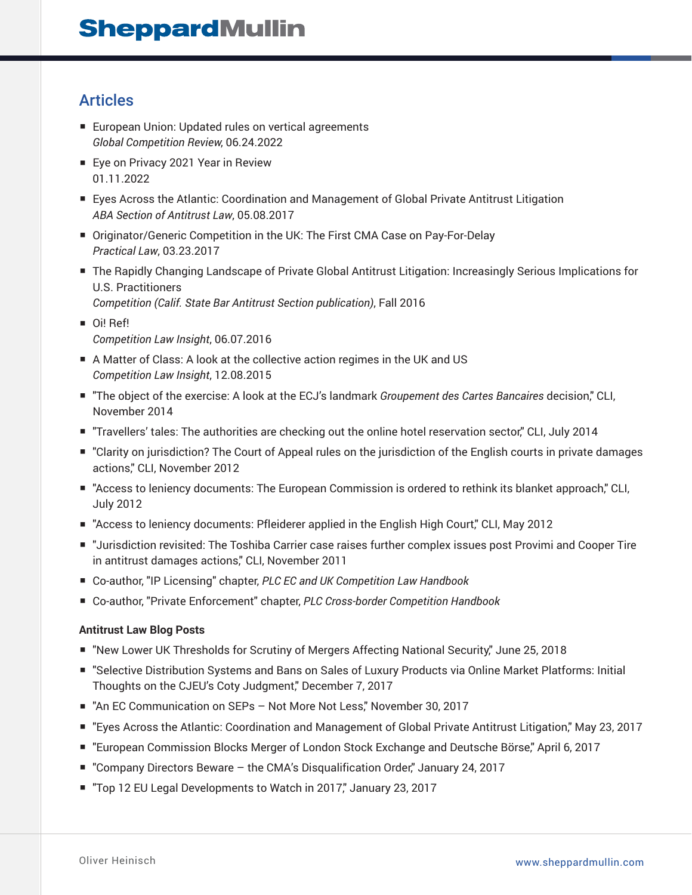## Articles

- European Union: Updated rules on vertical agreements *Global Competition Review*, 06.24.2022
- Eye on Privacy 2021 Year in Review 01.11.2022
- Eyes Across the Atlantic: Coordination and Management of Global Private Antitrust Litigation *ABA Section of Antitrust Law*, 05.08.2017
- Originator/Generic Competition in the UK: The First CMA Case on Pay-For-Delay *Practical Law*, 03.23.2017
- The Rapidly Changing Landscape of Private Global Antitrust Litigation: Increasingly Serious Implications for U.S. Practitioners
	- *Competition (Calif. State Bar Antitrust Section publication)*, Fall 2016
- Oi! Ref! *Competition Law Insight*, 06.07.2016
- A Matter of Class: A look at the collective action regimes in the UK and US *Competition Law Insight*, 12.08.2015
- "The object of the exercise: A look at the ECJ's landmark *Groupement des Cartes Bancaires* decision," CLI, November 2014
- "Travellers' tales: The authorities are checking out the online hotel reservation sector," CLI, July 2014
- "Clarity on jurisdiction? The Court of Appeal rules on the jurisdiction of the English courts in private damages actions," CLI, November 2012
- "Access to leniency documents: The European Commission is ordered to rethink its blanket approach," CLI, July 2012
- "Access to leniency documents: Pfleiderer applied in the English High Court," CLI, May 2012
- "Jurisdiction revisited: The Toshiba Carrier case raises further complex issues post Provimi and Cooper Tire in antitrust damages actions," CLI, November 2011
- Co-author, "IP Licensing" chapter, *PLC EC and UK Competition Law Handbook*
- Co-author, "Private Enforcement" chapter, *PLC Cross-border Competition Handbook*

### **Antitrust Law Blog Posts**

- "New Lower UK Thresholds for Scrutiny of Mergers Affecting National Security," June 25, 2018
- "Selective Distribution Systems and Bans on Sales of Luxury Products via Online Market Platforms: Initial Thoughts on the CJEU's Coty Judgment," December 7, 2017
- "An EC Communication on SEPs Not More Not Less," November 30, 2017
- "Eyes Across the Atlantic: Coordination and Management of Global Private Antitrust Litigation," May 23, 2017
- "European Commission Blocks Merger of London Stock Exchange and Deutsche Börse," April 6, 2017
- "Company Directors Beware the CMA's Disqualification Order," January 24, 2017
- "Top 12 EU Legal Developments to Watch in 2017," January 23, 2017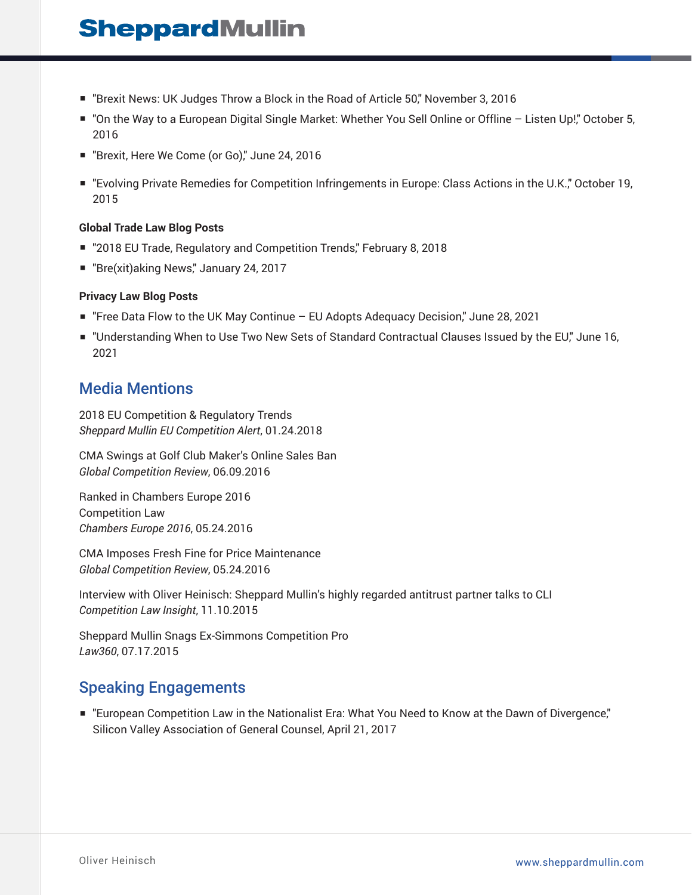- "Brexit News: UK Judges Throw a Block in the Road of Article 50," November 3, 2016
- "On the Way to a European Digital Single Market: Whether You Sell Online or Offline Listen Up!" October 5, 2016
- "Brexit, Here We Come (or Go)," June 24, 2016
- "Evolving Private Remedies for Competition Infringements in Europe: Class Actions in the U.K.," October 19, 2015

### **Global Trade Law Blog Posts**

- "2018 EU Trade, Regulatory and Competition Trends," February 8, 2018
- "Bre(xit)aking News," January 24, 2017

### **Privacy Law Blog Posts**

- "Free Data Flow to the UK May Continue EU Adopts Adequacy Decision," June 28, 2021
- "Understanding When to Use Two New Sets of Standard Contractual Clauses Issued by the EU," June 16, 2021

### Media Mentions

2018 EU Competition & Regulatory Trends *Sheppard Mullin EU Competition Alert*, 01.24.2018

CMA Swings at Golf Club Maker's Online Sales Ban *Global Competition Review*, 06.09.2016

Ranked in Chambers Europe 2016 Competition Law *Chambers Europe 2016*, 05.24.2016

CMA Imposes Fresh Fine for Price Maintenance *Global Competition Review*, 05.24.2016

Interview with Oliver Heinisch: Sheppard Mullin's highly regarded antitrust partner talks to CLI *Competition Law Insight*, 11.10.2015

Sheppard Mullin Snags Ex-Simmons Competition Pro *Law360*, 07.17.2015

### Speaking Engagements

■ "European Competition Law in the Nationalist Era: What You Need to Know at the Dawn of Divergence," Silicon Valley Association of General Counsel, April 21, 2017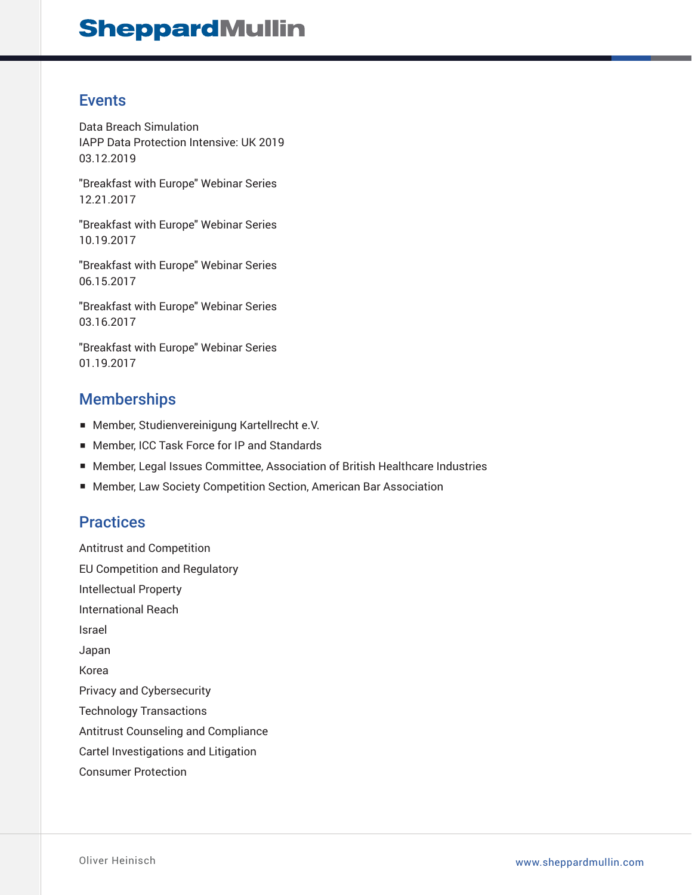### Events

Data Breach Simulation IAPP Data Protection Intensive: UK 2019 03.12.2019

"Breakfast with Europe" Webinar Series 12.21.2017

"Breakfast with Europe" Webinar Series 10.19.2017

"Breakfast with Europe" Webinar Series 06.15.2017

"Breakfast with Europe" Webinar Series 03.16.2017

"Breakfast with Europe" Webinar Series 01.19.2017

## **Memberships**

- Member, Studienvereinigung Kartellrecht e.V.
- Member, ICC Task Force for IP and Standards
- Member, Legal Issues Committee, Association of British Healthcare Industries
- Member, Law Society Competition Section, American Bar Association

## **Practices**

Antitrust and Competition EU Competition and Regulatory Intellectual Property International Reach Israel Japan Korea Privacy and Cybersecurity Technology Transactions Antitrust Counseling and Compliance Cartel Investigations and Litigation Consumer Protection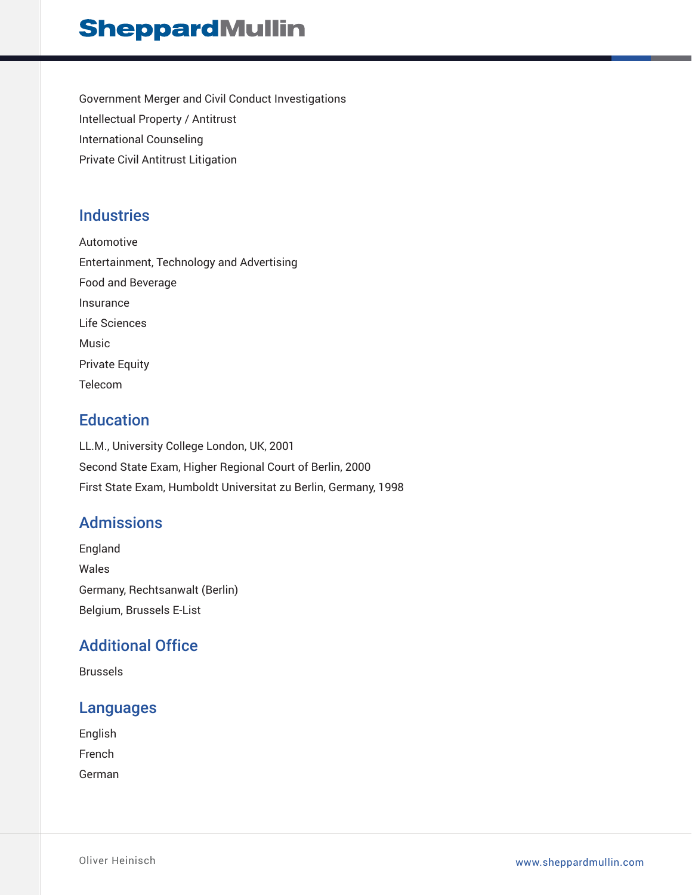Government Merger and Civil Conduct Investigations Intellectual Property / Antitrust International Counseling Private Civil Antitrust Litigation

## **Industries**

Automotive Entertainment, Technology and Advertising Food and Beverage Insurance Life Sciences Music Private Equity Telecom

## **Education**

LL.M., University College London, UK, 2001 Second State Exam, Higher Regional Court of Berlin, 2000 First State Exam, Humboldt Universitat zu Berlin, Germany, 1998

## Admissions

England Wales Germany, Rechtsanwalt (Berlin) Belgium, Brussels E-List

## Additional Office

Brussels

### Languages

English French German